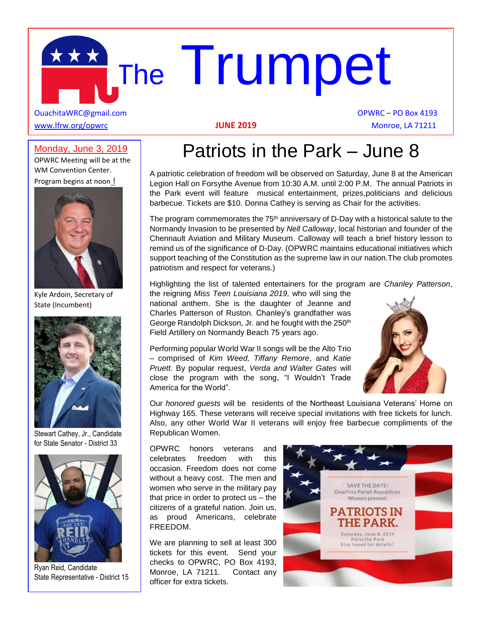# The Trumpet

OuachitaWRC@gmail.com **OPWRC – PO Box 4193** [www.lfrw.org/opwrc](http://www.lfrw.org/opwrc) **JUNE 2019** Monroe, LA 71211

#### Monday, June 3, 2019

OPWRC Meeting will be at the WM Convention Center. Program begins at noon !



Kyle Ardoin, Secretary of State (Incumbent)



Stewart Cathey, Jr., Candidate for State Senator - District 33



Ryan Reid, Candidate State Representative - District 15

#### Patriots in the Park – June 8

A patriotic celebration of freedom will be observed on Saturday, June 8 at the American Legion Hall on Forsythe Avenue from 10:30 A.M. until 2:00 P.M. The annual Patriots in the Park event will feature musical entertainment, prizes,politicians and delicious barbecue. Tickets are \$10. Donna Cathey is serving as Chair for the activities.

The program commemorates the  $75<sup>th</sup>$  anniversary of D-Day with a historical salute to the Normandy Invasion to be presented by *Nell Calloway*, local historian and founder of the Chennault Aviation and Military Museum. Calloway will teach a brief history lesson to remind us of the significance of D-Day. (OPWRC maintains educational initiatives which support teaching of the Constitution as the supreme law in our nation.The club promotes patriotism and respect for veterans.)

Highlighting the list of talented entertainers for the program are *Chanley Patterson*, the reigning *Miss Teen Louisiana 2019,* who will sing the

national anthem. She is the daughter of Jeanne and Charles Patterson of Ruston. Chanley's grandfather was George Randolph Dickson, Jr. and he fought with the 250th Field Artillery on Normandy Beach 75 years ago.

Performing popular World War II songs will be the Alto Trio – comprised of *Kim Weed, Tiffany Remore*, and *Katie Pruett.* By popular request, *Verda and Walter Gates* will close the program with the song, "I Wouldn't Trade America for the World".



Our *honored guests* will be residents of the Northeast Louisiana Veterans' Home on Highway 165. These veterans will receive special invitations with free tickets for lunch. Also, any other World War II veterans will enjoy free barbecue compliments of the Republican Women.

OPWRC honors veterans and celebrates freedom with this occasion. Freedom does not come without a heavy cost. The men and women who serve in the military pay that price in order to protect us – the citizens of a grateful nation. Join us, as proud Americans, celebrate FREEDOM.

We are planning to sell at least 300 tickets for this event. Send your checks to OPWRC, PO Box 4193, Monroe, LA 71211. Contact any officer for extra tickets.

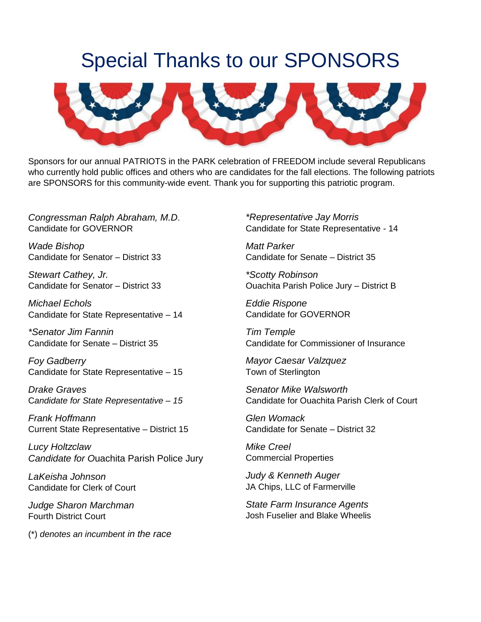### Special Thanks to our SPONSORS



Sponsors for our annual PATRIOTS in the PARK celebration of FREEDOM include several Republicans who currently hold public offices and others who are candidates for the fall elections. The following patriots are SPONSORS for this community-wide event. Thank you for supporting this patriotic program.

*Congressman Ralph Abraham, M.D*. Candidate for GOVERNOR

*Wade Bishop*  Candidate for Senator – District 33

*Stewart Cathey, Jr.*  Candidate for Senator – District 33

*Michael Echols*  Candidate for State Representative – 14

*\*Senator Jim Fannin*  Candidate for Senate – District 35

*Foy Gadberry*  Candidate for State Representative – 15

*Drake Graves*  C*andidate for State Representative – 15* 

*Frank Hoffmann*  Current State Representative – District 15

*Lucy Holtzclaw Candidate for O*uachita Parish Police Jury

*LaKeisha Johnson*  Candidate for Clerk of Court

*Judge Sharon Marchman*  Fourth District Court

(\*) *denotes an incumbent in the race* 

*\*Representative Jay Morris*  Candidate for State Representative - 14

*Matt Parker*  Candidate for Senate – District 35

*\*Scotty Robinson*  Ouachita Parish Police Jury – District B

*Eddie Rispone*  Candidate for GOVERNOR

*Tim Temple*  Candidate for Commissioner of Insurance

*Mayor Caesar Valzquez*  Town of Sterlington

*Senator Mike Walsworth*  Candidate for Ouachita Parish Clerk of Court

*Glen Womack*  Candidate for Senate – District 32

*Mike Creel*  Commercial Properties

*Judy & Kenneth Auger*  JA Chips, LLC of Farmerville

*State Farm Insurance Agents*  Josh Fuselier and Blake Wheelis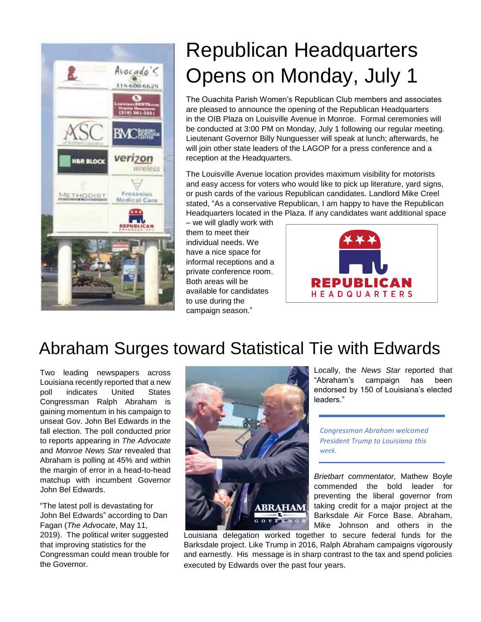

## Republican Headquarters Opens on Monday, July 1

The Ouachita Parish Women's Republican Club members and associates are pleased to announce the opening of the Republican Headquarters in the OIB Plaza on Louisville Avenue in Monroe. Formal ceremonies will be conducted at 3:00 PM on Monday, July 1 following our regular meeting. Lieutenant Governor Billy Nunguesser will speak at lunch; afterwards, he will join other state leaders of the LAGOP for a press conference and a reception at the Headquarters.

The Louisville Avenue location provides maximum visibility for motorists and easy access for voters who would like to pick up literature, yard signs, or push cards of the various Republican candidates. Landlord Mike Creel stated, "As a conservative Republican, I am happy to have the Republican Headquarters located in the Plaza. If any candidates want additional space

– we will gladly work with them to meet their individual needs. We have a nice space for informal receptions and a private conference room. Both areas will be available for candidates to use during the campaign season."



#### Abraham Surges toward Statistical Tie with Edwards

Two leading newspapers across Louisiana recently reported that a new poll indicates United States Congressman Ralph Abraham is gaining momentum in his campaign to unseat Gov. John Bel Edwards in the fall election. The poll conducted prior to reports appearing in *The Advocate* and *Monroe News Star* revealed that Abraham is polling at 45% and within the margin of error in a head-to-head matchup with incumbent Governor John Bel Edwards.

"The latest poll is devastating for John Bel Edwards" according to Dan Fagan (*The Advocate*, May 11, 2019). The political writer suggested that improving statistics for the Congressman could mean trouble for the Governor.



Locally, the *News Star* reported that "Abraham's campaign has been endorsed by 150 of Louisiana's elected leaders."

*Congressman Abraham welcomed President Trump to Louisiana this week.*

*Brietbart commentator,* Mathew Boyle commended the bold leader for preventing the liberal governor from taking credit for a major project at the Barksdale Air Force Base. Abraham, Mike Johnson and others in the

Louisiana delegation worked together to secure federal funds for the Barksdale project. Like Trump in 2016, Ralph Abraham campaigns vigorously and earnestly. His message is in sharp contrast to the tax and spend policies executed by Edwards over the past four years.